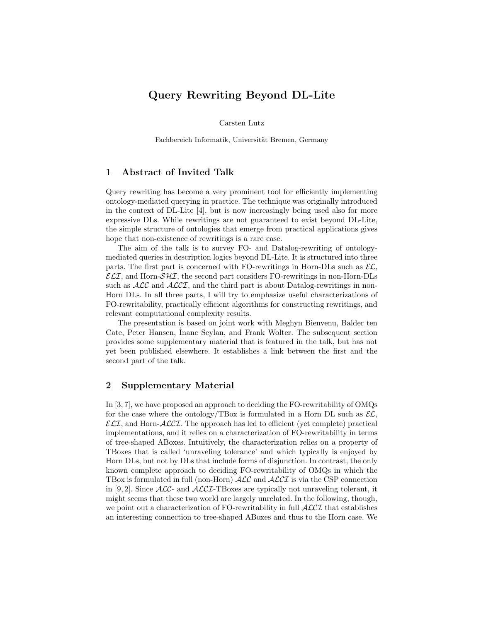## Query Rewriting Beyond DL-Lite

Carsten Lutz

Fachbereich Informatik, Universität Bremen, Germany

## 1 Abstract of Invited Talk

Query rewriting has become a very prominent tool for efficiently implementing ontology-mediated querying in practice. The technique was originally introduced in the context of DL-Lite [4], but is now increasingly being used also for more expressive DLs. While rewritings are not guaranteed to exist beyond DL-Lite, the simple structure of ontologies that emerge from practical applications gives hope that non-existence of rewritings is a rare case.

The aim of the talk is to survey FO- and Datalog-rewriting of ontologymediated queries in description logics beyond DL-Lite. It is structured into three parts. The first part is concerned with FO-rewritings in Horn-DLs such as  $\mathcal{EL}$ ,  $\mathcal{ELI}$ , and Horn- $\mathcal{SHI}$ , the second part considers FO-rewritings in non-Horn-DLs such as  $\mathcal{ALC}$  and  $\mathcal{ALCI}$ , and the third part is about Datalog-rewritings in non-Horn DLs. In all three parts, I will try to emphasize useful characterizations of FO-rewritability, practically efficient algorithms for constructing rewritings, and relevant computational complexity results.

The presentation is based on joint work with Meghyn Bienvenu, Balder ten Cate, Peter Hansen, Inanc Seylan, and Frank Wolter. The subsequent section provides some supplementary material that is featured in the talk, but has not yet been published elsewhere. It establishes a link between the first and the second part of the talk.

## 2 Supplementary Material

In [3, 7], we have proposed an approach to deciding the FO-rewritability of OMQs for the case where the ontology/TBox is formulated in a Horn DL such as  $\mathcal{EL}$ ,  $\mathcal{ELI}$ , and Horn- $\mathcal{ALCI}$ . The approach has led to efficient (yet complete) practical implementations, and it relies on a characterization of FO-rewritability in terms of tree-shaped ABoxes. Intuitively, the characterization relies on a property of TBoxes that is called 'unraveling tolerance' and which typically is enjoyed by Horn DLs, but not by DLs that include forms of disjunction. In contrast, the only known complete approach to deciding FO-rewritability of OMQs in which the TBox is formulated in full (non-Horn)  $\text{ALC}$  and  $\text{ALCI}$  is via the CSP connection in [9, 2]. Since  $\mathcal{ALC}$ - and  $\mathcal{ALCI}$ -TBoxes are typically not unraveling tolerant, it might seems that these two world are largely unrelated. In the following, though, we point out a characterization of FO-rewritability in full  $\mathcal{ALCI}$  that establishes an interesting connection to tree-shaped ABoxes and thus to the Horn case. We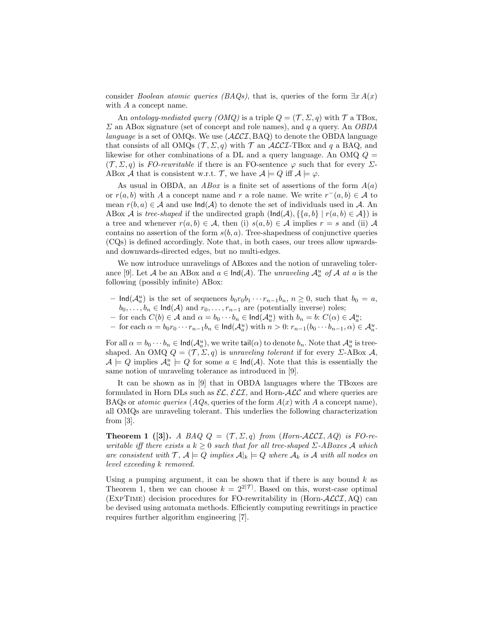consider *Boolean atomic queries (BAQs)*, that is, queries of the form  $\exists x A(x)$ with A a concept name.

An ontology-mediated query  $(OMQ)$  is a triple  $Q = (\mathcal{T}, \Sigma, q)$  with  $\mathcal{T}$  a TBox,  $\Sigma$  an ABox signature (set of concept and role names), and q a query. An OBDA language is a set of OMQs. We use  $(\mathcal{ALCI}, BAQ)$  to denote the OBDA language that consists of all OMQs ( $\mathcal{T}, \Sigma, q$ ) with  $\mathcal{T}$  an ALCI-TBox and q a BAQ, and likewise for other combinations of a DL and a query language. An OMQ  $Q =$  $(\mathcal{T}, \Sigma, q)$  is FO-rewritable if there is an FO-sentence  $\varphi$  such that for every  $\Sigma$ -ABox A that is consistent w.r.t. T, we have  $A \models Q$  iff  $A \models \varphi$ .

As usual in OBDA, an *ABox* is a finite set of assertions of the form  $A(a)$ or  $r(a, b)$  with A a concept name and r a role name. We write  $r^-(a, b) \in A$  to mean  $r(b, a) \in \mathcal{A}$  and use  $\text{Ind}(\mathcal{A})$  to denote the set of individuals used in  $\mathcal{A}$ . An ABox A is tree-shaped if the undirected graph  $(\text{Ind}(\mathcal{A}), \{\{a, b\} \mid r(a, b) \in \mathcal{A}\})$  is a tree and whenever  $r(a, b) \in \mathcal{A}$ , then (i)  $s(a, b) \in \mathcal{A}$  implies  $r = s$  and (ii)  $\mathcal{A}$ contains no assertion of the form  $s(b, a)$ . Tree-shapedness of conjunctive queries (CQs) is defined accordingly. Note that, in both cases, our trees allow upwardsand downwards-directed edges, but no multi-edges.

We now introduce unravelings of ABoxes and the notion of unraveling tolerance [9]. Let A be an ABox and  $a \in \text{Ind}(\mathcal{A})$ . The unraveling  $\mathcal{A}_a^u$  of A at a is the following (possibly infinite) ABox:

- $\text{Ind}(\mathcal{A}_a^u)$  is the set of sequences  $b_0r_0b_1 \cdots r_{n-1}b_n$ ,  $n \ge 0$ , such that  $b_0 = a$ ,  $b_0, \ldots, b_n \in \text{Ind}(\mathcal{A})$  and  $r_0, \ldots, r_{n-1}$  are (potentially inverse) roles;
- for each *C*(*b*) ∈ *A* and  $\alpha = b_0 \cdots b_n$  ∈  $\text{Ind}(A_a^u)$  with  $b_n = b$ : *C*( $\alpha$ ) ∈  $A_a^u$ ;
- for each  $\alpha = b_0 r_0 \cdots r_{n-1} b_n \in \text{Ind}(\mathcal{A}_a^u)$  with  $n > 0$ :  $r_{n-1}(b_0 \cdots b_{n-1}, \alpha) \in \mathcal{A}_a^u$ .

For all  $\alpha = b_0 \cdots b_n \in \text{Ind}(\mathcal{A}_a^u)$ , we write  $\text{tail}(\alpha)$  to denote  $b_n$ . Note that  $\mathcal{A}_a^u$  is treeshaped. An OMQ  $Q = (\mathcal{T}, \Sigma, q)$  is unraveling tolerant if for every  $\Sigma$ -ABox A,  $\mathcal{A} \models Q$  implies  $\mathcal{A}_a^u \models Q$  for some  $a \in \mathsf{Ind}(\mathcal{A})$ . Note that this is essentially the same notion of unraveling tolerance as introduced in [9].

It can be shown as in [9] that in OBDA languages where the TBoxes are formulated in Horn DLs such as  $\mathcal{EL}, \mathcal{ELI},$  and Horn- $\mathcal{ALC}$  and where queries are BAQs or *atomic queries*  $(AQs)$ , queries of the form  $A(x)$  with A a concept name), all OMQs are unraveling tolerant. This underlies the following characterization from [3].

**Theorem 1** ([3]). A BAQ  $Q = (\mathcal{T}, \Sigma, q)$  from (Horn-ALCI, AQ) is FO-rewritable iff there exists a  $k \geq 0$  such that for all tree-shaped  $\Sigma$ -ABoxes A which are consistent with  $\mathcal{T}, \mathcal{A} \models Q$  implies  $\mathcal{A}|_k \models Q$  where  $\mathcal{A}_k$  is  $\mathcal{A}$  with all nodes on level exceeding k removed.

Using a pumping argument, it can be shown that if there is any bound  $k$  as Theorem 1, then we can choose  $k = 2^{2|\mathcal{T}|}$ . Based on this, worst-case optimal (EXPTIME) decision procedures for FO-rewritability in (Horn- $\mathcal{ALCI}$ , AQ) can be devised using automata methods. Efficiently computing rewritings in practice requires further algorithm engineering [7].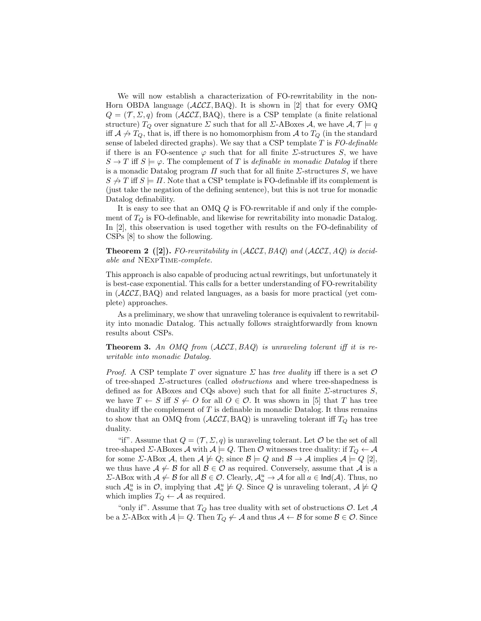We will now establish a characterization of FO-rewritability in the non-Horn OBDA language  $(ALCI, BAQ)$ . It is shown in [2] that for every OMQ  $Q = (\mathcal{T}, \Sigma, q)$  from  $(\mathcal{ALCI}, \text{BAQ})$ , there is a CSP template (a finite relational structure)  $T_Q$  over signature  $\Sigma$  such that for all  $\Sigma$ -ABoxes  $\mathcal{A}$ , we have  $\mathcal{A}, \mathcal{T} \models q$ iff  $A \nrightarrow T_Q$ , that is, iff there is no homomorphism from A to  $T_Q$  (in the standard sense of labeled directed graphs). We say that a CSP template  $T$  is  $FO$ -definable if there is an FO-sentence  $\varphi$  such that for all finite  $\Sigma$ -structures S, we have  $S \to T$  iff  $S \models \varphi$ . The complement of T is definable in monadic Datalog if there is a monadic Datalog program  $\Pi$  such that for all finite  $\Sigma$ -structures  $S$ , we have  $S \nrightarrow T$  iff  $S \models \Pi$ . Note that a CSP template is FO-definable iff its complement is (just take the negation of the defining sentence), but this is not true for monadic Datalog definability.

It is easy to see that an OMQ Q is FO-rewritable if and only if the complement of  $T_Q$  is FO-definable, and likewise for rewritability into monadic Datalog. In [2], this observation is used together with results on the FO-definability of CSPs [8] to show the following.

**Theorem 2** ([2]). FO-rewritability in  $(\text{ALCI}, BAQ)$  and  $(\text{ALCI}, AQ)$  is decidable and NExpTime-complete.

This approach is also capable of producing actual rewritings, but unfortunately it is best-case exponential. This calls for a better understanding of FO-rewritability in  $(ACCI, BAQ)$  and related languages, as a basis for more practical (yet complete) approaches.

As a preliminary, we show that unraveling tolerance is equivalent to rewritability into monadic Datalog. This actually follows straightforwardly from known results about CSPs.

**Theorem 3.** An OMQ from  $(ALCI, BAQ)$  is unraveling tolerant iff it is rewritable into monadic Datalog.

*Proof.* A CSP template T over signature  $\Sigma$  has tree duality iff there is a set  $\mathcal O$ of tree-shaped Σ-structures (called obstructions and where tree-shapedness is defined as for ABoxes and CQs above) such that for all finite  $\Sigma$ -structures S, we have  $T \leftarrow S$  iff  $S \not\leftarrow O$  for all  $O \in \mathcal{O}$ . It was shown in [5] that T has tree duality iff the complement of  $T$  is definable in monadic Datalog. It thus remains to show that an OMQ from  $(ACCI, BAQ)$  is unraveling tolerant iff  $T_Q$  has tree duality.

"if". Assume that  $Q = (\mathcal{T}, \Sigma, q)$  is unraveling tolerant. Let  $\mathcal O$  be the set of all tree-shaped Σ-ABoxes A with  $A \models Q$ . Then O witnesses tree duality: if  $T_Q \leftarrow A$ for some *Σ*-ABox *A*, then  $A \not\models Q$ ; since  $B \models Q$  and  $B \rightarrow A$  implies  $A \models Q$  [2], we thus have  $A \not\leftarrow B$  for all  $B \in \mathcal{O}$  as required. Conversely, assume that A is a  $Σ$ -ABox with  $A \nleftarrow B$  for all  $B ∈ \mathcal{O}$ . Clearly,  $\mathcal{A}_a^u \rightarrow \mathcal{A}$  for all  $a ∈ \mathsf{Ind}(\mathcal{A})$ . Thus, no such  $\mathcal{A}_a^u$  is in  $\mathcal{O}$ , implying that  $\mathcal{A}_a^u \not\models Q$ . Since Q is unraveling tolerant,  $\mathcal{A} \not\models Q$ which implies  $T_Q \leftarrow A$  as required.

"only if". Assume that  $T_Q$  has tree duality with set of obstructions  $\mathcal{O}$ . Let  $\mathcal A$ be a  $\Sigma$ -ABox with  $\mathcal{A} \models Q$ . Then  $T_Q \not\leftarrow \mathcal{A}$  and thus  $\mathcal{A} \leftarrow \mathcal{B}$  for some  $\mathcal{B} \in \mathcal{O}$ . Since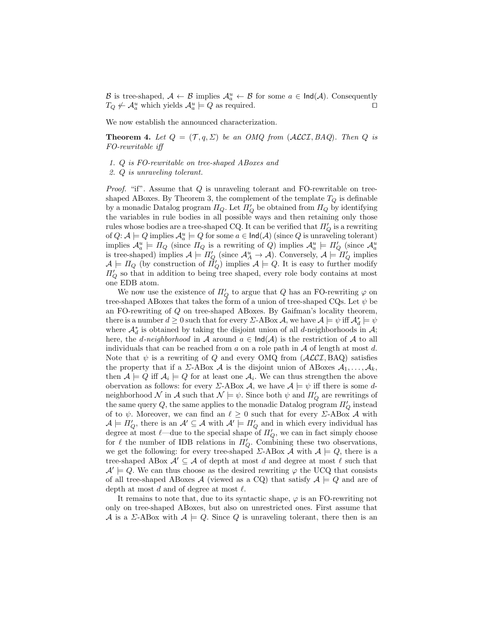B is tree-shaped,  $A \leftarrow B$  implies  $A_a^u \leftarrow B$  for some  $a \in \text{Ind}(A)$ . Consequently  $T_Q \nleftrightarrow \mathcal{A}_a^u$  which yields  $\mathcal{A}_a^u \models Q$  as required.

We now establish the announced characterization.

**Theorem 4.** Let  $Q = (\mathcal{T}, q, \Sigma)$  be an OMQ from (ALCI, BAQ). Then Q is FO-rewritable iff

- 1. Q is FO-rewritable on tree-shaped ABoxes and
- 2. Q is unraveling tolerant.

*Proof.* "if". Assume that  $Q$  is unraveling tolerant and FO-rewritable on treeshaped ABoxes. By Theorem 3, the complement of the template  $T_Q$  is definable by a monadic Datalog program  $\Pi_Q$ . Let  $\Pi_Q'$  be obtained from  $\Pi_Q$  by identifying the variables in rule bodies in all possible ways and then retaining only those rules whose bodies are a tree-shaped CQ. It can be verified that  $\Pi_Q'$  is a rewriting of  $Q: \mathcal{A} \models Q$  implies  $\mathcal{A}_a^u \models Q$  for some  $a \in \mathsf{Ind}(\mathcal{A})$  (since  $Q$  is unraveling tolerant) implies  $\mathcal{A}_a^u \models \Pi_Q$  (since  $\Pi_Q$  is a rewriting of Q) implies  $\mathcal{A}_a^u \models \Pi_Q'$  (since  $\mathcal{A}_a^u$ is tree-shaped) implies  $\mathcal{A} \models \Pi'_Q$  (since  $\mathcal{A}_A^u \to \mathcal{A}$ ). Conversely,  $\mathcal{A} \models \Pi'_Q$  implies  $\mathcal{A} \models \Pi_Q$  (by construction of  $\vec{\Pi}'_Q$ ) implies  $\mathcal{A} \models Q$ . It is easy to further modify  $\Pi_Q'$  so that in addition to being tree shaped, every role body contains at most one EDB atom.

We now use the existence of  $\Pi_Q'$  to argue that  $Q$  has an FO-rewriting  $\varphi$  on tree-shaped ABoxes that takes the form of a union of tree-shaped CQs. Let  $\psi$  be an FO-rewriting of Q on tree-shaped ABoxes. By Gaifman's locality theorem, there is a number  $d \geq 0$  such that for every  $\Sigma$ -ABox  $\mathcal{A}$ , we have  $\mathcal{A} \models \psi$  iff  $\mathcal{A}^*_{d} \models \psi$ where  $\mathcal{A}_d^*$  is obtained by taking the disjoint union of all d-neighborhoods in  $\mathcal{A}$ ; here, the d-neighborhood in A around  $a \in \text{Ind}(\mathcal{A})$  is the restriction of A to all individuals that can be reached from  $a$  on a role path in  $A$  of length at most  $d$ . Note that  $\psi$  is a rewriting of Q and every OMQ from  $(ALCI, BAQ)$  satisfies the property that if a  $\Sigma$ -ABox A is the disjoint union of ABoxes  $A_1, \ldots, A_k$ , then  $A \models Q$  iff  $A_i \models Q$  for at least one  $A_i$ . We can thus strengthen the above obervation as follows: for every  $\Sigma$ -ABox  $\mathcal{A}$ , we have  $\mathcal{A} \models \psi$  iff there is some dneighborhood  $\mathcal N$  in  $\mathcal A$  such that  $\mathcal N\models\psi.$  Since both  $\psi$  and  $\Pi_Q'$  are rewritings of the same query  $Q$ , the same applies to the monadic Datalog program  $\Pi'_Q$  instead of to  $\psi$ . Moreover, we can find an  $\ell \geq 0$  such that for every *Σ*-ABox *A* with  $\mathcal{A} \models \Pi'_Q$ , there is an  $\mathcal{A}' \subseteq \mathcal{A}$  with  $\mathcal{A}' \models \Pi'_Q$  and in which every individual has degree at most  $\ell$ —due to the special shape of  $\Pi'_{Q}$ , we can in fact simply choose for  $\ell$  the number of IDB relations in  $\Pi'_{Q}$ . Combining these two observations, we get the following: for every tree-shaped  $\Sigma$ -ABox A with  $A \models Q$ , there is a tree-shaped ABox  $A' \subseteq A$  of depth at most d and degree at most  $\ell$  such that  $\mathcal{A}' \models Q$ . We can thus choose as the desired rewriting  $\varphi$  the UCQ that consists of all tree-shaped ABoxes A (viewed as a CQ) that satisfy  $A \models Q$  and are of depth at most  $d$  and of degree at most  $\ell$ .

It remains to note that, due to its syntactic shape,  $\varphi$  is an FO-rewriting not only on tree-shaped ABoxes, but also on unrestricted ones. First assume that A is a  $\Sigma$ -ABox with  $A \models Q$ . Since Q is unraveling tolerant, there then is an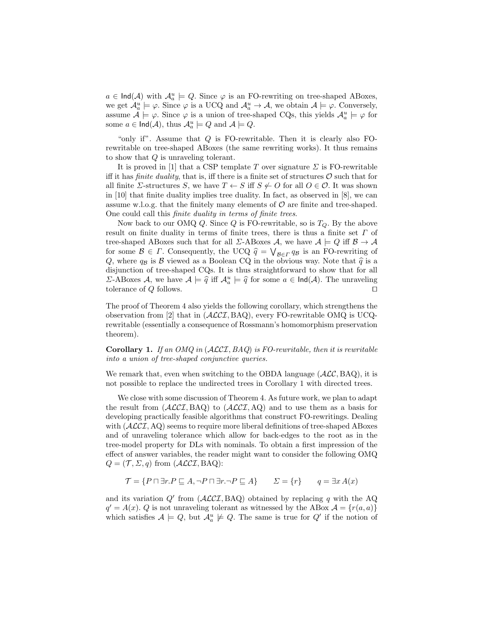$a \in \text{Ind}(\mathcal{A})$  with  $\mathcal{A}_a^u \models Q$ . Since  $\varphi$  is an FO-rewriting on tree-shaped ABoxes, we get  $\mathcal{A}_a^u \models \varphi$ . Since  $\varphi$  is a UCQ and  $\mathcal{A}_a^u \to \mathcal{A}$ , we obtain  $\mathcal{A} \models \varphi$ . Conversely, assume  $\mathcal{A} \models \varphi$ . Since  $\varphi$  is a union of tree-shaped CQs, this yields  $\mathcal{A}_a^u \models \varphi$  for some  $a \in \text{Ind}(\mathcal{A})$ , thus  $\mathcal{A}_a^u \models Q$  and  $\mathcal{A} \models Q$ .

"only if". Assume that  $Q$  is FO-rewritable. Then it is clearly also FOrewritable on tree-shaped ABoxes (the same rewriting works). It thus remains to show that Q is unraveling tolerant.

It is proved in [1] that a CSP template T over signature  $\Sigma$  is FO-rewritable iff it has *finite duality*, that is, iff there is a finite set of structures  $\mathcal{O}$  such that for all finite *Σ*-structures *S*, we have  $T \leftarrow S$  iff  $S \not\leftarrow O$  for all  $O \in \mathcal{O}$ . It was shown in [10] that finite duality implies tree duality. In fact, as observed in [8], we can assume w.l.o.g. that the finitely many elements of  $\mathcal O$  are finite and tree-shaped. One could call this finite duality in terms of finite trees.

Now back to our OMQ Q. Since Q is FO-rewritable, so is  $T_Q$ . By the above result on finite duality in terms of finite trees, there is thus a finite set  $\Gamma$  of tree-shaped ABoxes such that for all *Σ*-ABoxes *A*, we have  $A \models Q$  iff  $B \rightarrow A$ for some  $\mathcal{B} \in \Gamma$ . Consequently, the UCQ  $\hat{q} = \bigvee_{\mathcal{B} \in \Gamma} q_{\mathcal{B}}$  is an FO-rewriting of  $\Omega$  where  $q_{\Sigma}$  is  $\mathcal{B}$  viewed as a Boolean CO in the obvious way. Note that  $\hat{a}$  is a Q, where  $q_B$  is B viewed as a Boolean CQ in the obvious way. Note that  $\hat{q}$  is a disjunction of tree-shaped CQs. It is thus straightforward to show that for all Σ-ABoxes *A*, we have  $A \models \hat{q}$  iff  $\mathcal{A}^u_\alpha \models \hat{q}$  for some  $a \in \text{Ind}(\mathcal{A})$ . The unraveling telegrates of *O* follows tolerance of  $Q$  follows.

The proof of Theorem 4 also yields the following corollary, which strengthens the observation from [2] that in  $(ALCI, BAQ)$ , every FO-rewritable OMQ is UCQrewritable (essentially a consequence of Rossmann's homomorphism preservation theorem).

**Corollary 1.** If an OMQ in  $(ACCI, BAQ)$  is FO-rewritable, then it is rewritable into a union of tree-shaped conjunctive queries.

We remark that, even when switching to the OBDA language  $(ALC, BAQ)$ , it is not possible to replace the undirected trees in Corollary 1 with directed trees.

We close with some discussion of Theorem 4. As future work, we plan to adapt the result from  $(ALCI, BAQ)$  to  $(ALCI, AQ)$  and to use them as a basis for developing practically feasible algorithms that construct FO-rewritings. Dealing with  $(\mathcal{ALCI}, \mathbf{AQ})$  seems to require more liberal definitions of tree-shaped ABoxes and of unraveling tolerance which allow for back-edges to the root as in the tree-model property for DLs with nominals. To obtain a first impression of the effect of answer variables, the reader might want to consider the following OMQ  $Q = (\mathcal{T}, \Sigma, q)$  from  $(\mathcal{ALCI}, \text{BAQ})$ :

$$
\mathcal{T} = \{ P \sqcap \exists r.P \sqsubseteq A, \neg P \sqcap \exists r.\neg P \sqsubseteq A \} \qquad \varSigma = \{r\} \qquad q = \exists x \, A(x)
$$

and its variation  $Q'$  from  $(ALCI, BAQ)$  obtained by replacing q with the AQ  $q' = A(x)$ . Q is not unraveling tolerant as witnessed by the ABox  $A = \{r(a, a)\}\$ which satisfies  $A \models Q$ , but  $A_a^u \not\models Q$ . The same is true for  $Q'$  if the notion of